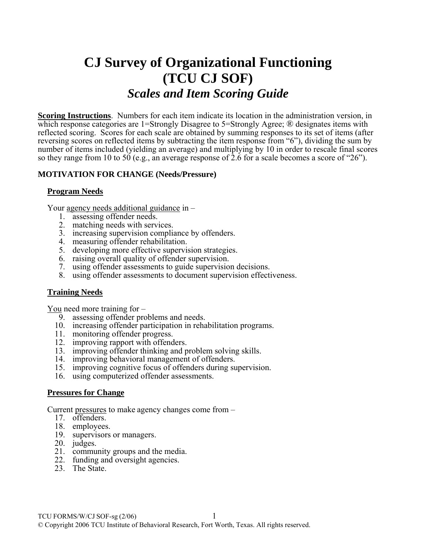# **CJ Survey of Organizational Functioning (TCU CJ SOF)**  *Scales and Item Scoring Guide*

**Scoring Instructions**. Numbers for each item indicate its location in the administration version, in which response categories are 1=Strongly Disagree to 5=Strongly Agree; ® designates items with reflected scoring. Scores for each scale are obtained by summing responses to its set of items (after reversing scores on reflected items by subtracting the item response from "6"), dividing the sum by number of items included (yielding an average) and multiplying by 10 in order to rescale final scores so they range from 10 to 50 (e.g., an average response of  $2.6$  for a scale becomes a score of "26").

#### **MOTIVATION FOR CHANGE (Needs/Pressure)**

#### **Program Needs**

Your agency needs additional guidance in –

- 1. assessing offender needs.
- 2. matching needs with services.
- 3. increasing supervision compliance by offenders.
- 4. measuring offender rehabilitation.
- 5. developing more effective supervision strategies.
- 6. raising overall quality of offender supervision.
- 7. using offender assessments to guide supervision decisions.
- 8. using offender assessments to document supervision effectiveness.

#### **Training Needs**

You need more training for –

- 9. assessing offender problems and needs.
- 10. increasing offender participation in rehabilitation programs.
- 11. monitoring offender progress.
- 12. improving rapport with offenders.
- 13. improving offender thinking and problem solving skills.
- 14. improving behavioral management of offenders.
- 15. improving cognitive focus of offenders during supervision.
- 16. using computerized offender assessments.

#### **Pressures for Change**

Current pressures to make agency changes come from –

- 17. offenders.
- 18. employees.
- 19. supervisors or managers.
- 20. judges.
- 21. community groups and the media.
- 22. funding and oversight agencies.
- 23. The State.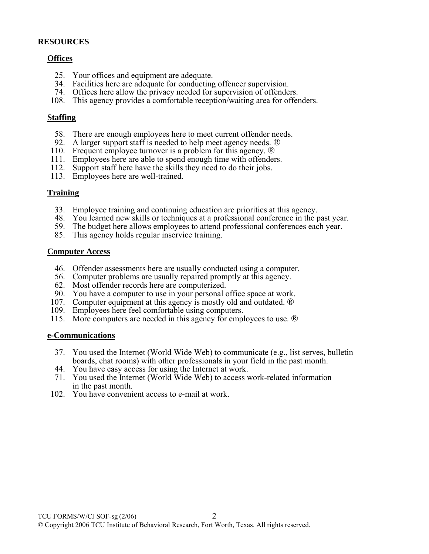#### **RESOURCES**

## **Offices**

- 25. Your offices and equipment are adequate.
- 34. Facilities here are adequate for conducting offencer supervision.
- 74. Offices here allow the privacy needed for supervision of offenders.
- 108. This agency provides a comfortable reception/waiting area for offenders.

#### **Staffing**

- 58. There are enough employees here to meet current offender needs.
- 92. A larger support staff is needed to help meet agency needs. ®
- 110. Frequent employee turnover is a problem for this agency.  $\mathbb{R}$
- 111. Employees here are able to spend enough time with offenders.
- 112. Support staff here have the skills they need to do their jobs.
- 113. Employees here are well-trained.

## **Training**

- 33. Employee training and continuing education are priorities at this agency.
- 48. You learned new skills or techniques at a professional conference in the past year.
- 59. The budget here allows employees to attend professional conferences each year.
- 85. This agency holds regular inservice training.

#### **Computer Access**

- 46. Offender assessments here are usually conducted using a computer.
- 56. Computer problems are usually repaired promptly at this agency.
- 62. Most offender records here are computerized.
- 90. You have a computer to use in your personal office space at work.
- 107. Computer equipment at this agency is mostly old and outdated. ®
- 109. Employees here feel comfortable using computers.
- 115. More computers are needed in this agency for employees to use. ®

## **e-Communications**

- 37. You used the Internet (World Wide Web) to communicate (e.g., list serves, bulletin boards, chat rooms) with other professionals in your field in the past month.
- 44. You have easy access for using the Internet at work.
- 71. You used the Internet (World Wide Web) to access work-related information in the past month.
- 102. You have convenient access to e-mail at work.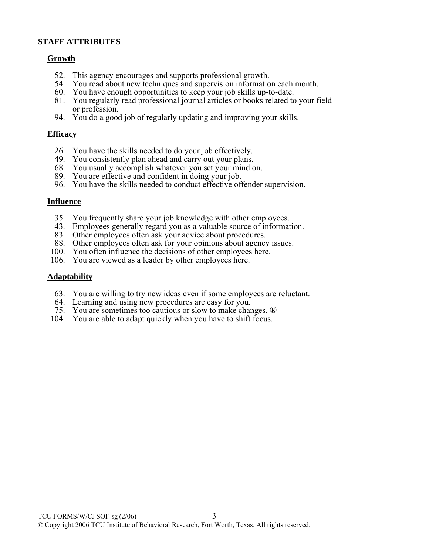## **STAFF ATTRIBUTES**

## **Growth**

- 52. This agency encourages and supports professional growth.
- 54. You read about new techniques and supervision information each month.
- 60. You have enough opportunities to keep your job skills up-to-date.
- 81. You regularly read professional journal articles or books related to your field or profession.
- 94. You do a good job of regularly updating and improving your skills.

## **Efficacy**

- 26. You have the skills needed to do your job effectively.
- 49. You consistently plan ahead and carry out your plans.
- 68. You usually accomplish whatever you set your mind on.
- 89. You are effective and confident in doing your job.
- 96. You have the skills needed to conduct effective offender supervision.

## **Influence**

- 35. You frequently share your job knowledge with other employees.
- 43. Employees generally regard you as a valuable source of information.
- 83. Other employees often ask your advice about procedures.
- 88. Other employees often ask for your opinions about agency issues.
- 100. You often influence the decisions of other employees here.
- 106. You are viewed as a leader by other employees here.

## **Adaptability**

- 63. You are willing to try new ideas even if some employees are reluctant.
- 64. Learning and using new procedures are easy for you.
- 75. You are sometimes too cautious or slow to make changes. ®
- 104. You are able to adapt quickly when you have to shift focus.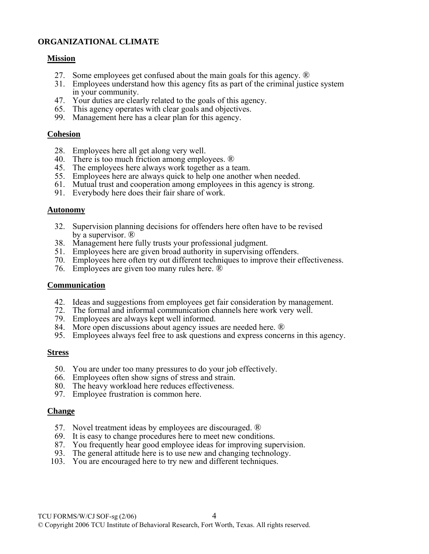## **ORGANIZATIONAL CLIMATE**

#### **Mission**

- 27. Some employees get confused about the main goals for this agency. ®
- 31. Employees understand how this agency fits as part of the criminal justice system in your community.
- 47. Your duties are clearly related to the goals of this agency.
- 65. This agency operates with clear goals and objectives.
- 99. Management here has a clear plan for this agency.

#### **Cohesion**

- 28. Employees here all get along very well.
- 40. There is too much friction among employees. ®
- 45. The employees here always work together as a team.
- 55. Employees here are always quick to help one another when needed.
- 61. Mutual trust and cooperation among employees in this agency is strong.
- 91. Everybody here does their fair share of work.

#### **Autonomy**

- 32. Supervision planning decisions for offenders here often have to be revised by a supervisor. ®
- 38. Management here fully trusts your professional judgment.
- 51. Employees here are given broad authority in supervising offenders.
- 70. Employees here often try out different techniques to improve their effectiveness.
- 76. Employees are given too many rules here. ®

#### **Communication**

- 42. Ideas and suggestions from employees get fair consideration by management.
- 72. The formal and informal communication channels here work very well.
- 79. Employees are always kept well informed.
- 84. More open discussions about agency issues are needed here. ®
- 95. Employees always feel free to ask questions and express concerns in this agency.

#### **Stress**

- 50. You are under too many pressures to do your job effectively.
- 66. Employees often show signs of stress and strain.
- 80. The heavy workload here reduces effectiveness.
- 97. Employee frustration is common here.

#### **Change**

- 57. Novel treatment ideas by employees are discouraged. ®
- 69. It is easy to change procedures here to meet new conditions.
- 87. You frequently hear good employee ideas for improving supervision.
- 93. The general attitude here is to use new and changing technology.
- 103. You are encouraged here to try new and different techniques.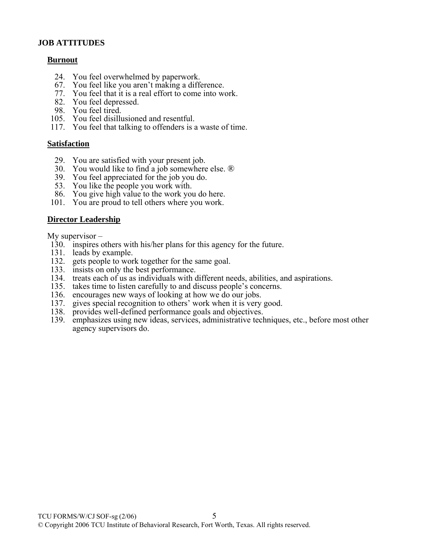## **JOB ATTITUDES**

## **Burnout**

- 24. You feel overwhelmed by paperwork.
- 67. You feel like you aren't making a difference.
- 77. You feel that it is a real effort to come into work.
- 82. You feel depressed.
- 98. You feel tired.
- 105. You feel disillusioned and resentful.
	- 117. You feel that talking to offenders is a waste of time.

#### **Satisfaction**

- 29. You are satisfied with your present job.
- 30. You would like to find a job somewhere else. ®
- 39. You feel appreciated for the job you do.
- 53. You like the people you work with.
	- 86. You give high value to the work you do here.
	- 101. You are proud to tell others where you work.

## **Director Leadership**

My supervisor –

- 130. inspires others with his/her plans for this agency for the future.
- 131. leads by example.
- 132. gets people to work together for the same goal.
- 133. insists on only the best performance.
- 134. treats each of us as individuals with different needs, abilities, and aspirations.
- 135. takes time to listen carefully to and discuss people's concerns.
- 136. encourages new ways of looking at how we do our jobs.
- 137. gives special recognition to others' work when it is very good.
- 138. provides well-defined performance goals and objectives.
- 139. emphasizes using new ideas, services, administrative techniques, etc., before most other agency supervisors do.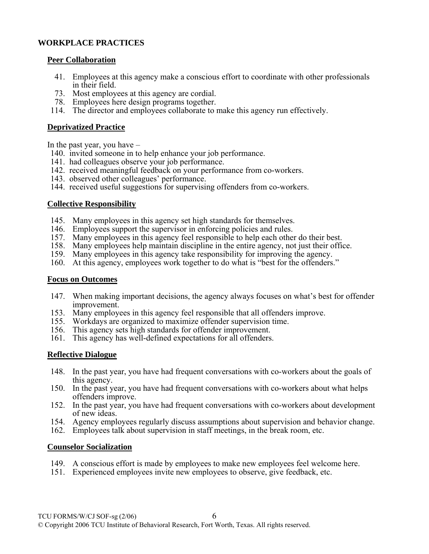# **WORKPLACE PRACTICES**

## **Peer Collaboration**

- 41. Employees at this agency make a conscious effort to coordinate with other professionals in their field.
- 73. Most employees at this agency are cordial.
- 78. Employees here design programs together.
- 114. The director and employees collaborate to make this agency run effectively.

## **Deprivatized Practice**

In the past year, you have –

- 140. invited someone in to help enhance your job performance.
- 141. had colleagues observe your job performance.
- 142. received meaningful feedback on your performance from co-workers.
- 143. observed other colleagues' performance.
- 144. received useful suggestions for supervising offenders from co-workers.

# **Collective Responsibility**

- 145. Many employees in this agency set high standards for themselves.
- 146. Employees support the supervisor in enforcing policies and rules.
- 157. Many employees in this agency feel responsible to help each other do their best.
- 158. Many employees help maintain discipline in the entire agency, not just their office.
- 159. Many employees in this agency take responsibility for improving the agency.
- 160. At this agency, employees work together to do what is "best for the offenders."

## **Focus on Outcomes**

- 147. When making important decisions, the agency always focuses on what's best for offender improvement.
- 153. Many employees in this agency feel responsible that all offenders improve.
- 155. Workdays are organized to maximize offender supervision time.
- 156. This agency sets high standards for offender improvement.
- 161. This agency has well-defined expectations for all offenders.

# **Reflective Dialogue**

- 148. In the past year, you have had frequent conversations with co-workers about the goals of this agency.
- 150. In the past year, you have had frequent conversations with co-workers about what helps offenders improve.
- 152. In the past year, you have had frequent conversations with co-workers about development of new ideas.
- 154. Agency employees regularly discuss assumptions about supervision and behavior change.
- 162. Employees talk about supervision in staff meetings, in the break room, etc.

# **Counselor Socialization**

- 149. A conscious effort is made by employees to make new employees feel welcome here.
- 151. Experienced employees invite new employees to observe, give feedback, etc.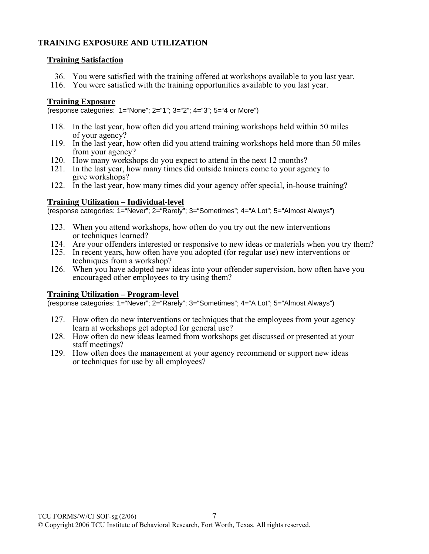# **TRAINING EXPOSURE AND UTILIZATION**

## **Training Satisfaction**

- 36. You were satisfied with the training offered at workshops available to you last year.
- 116. You were satisfied with the training opportunities available to you last year.

# **Training Exposure**

(response categories: 1="None"; 2="1"; 3="2"; 4="3"; 5="4 or More")

- 118. In the last year, how often did you attend training workshops held within 50 miles of your agency?
- 119. In the last year, how often did you attend training workshops held more than 50 miles from your agency?
- 120. How many workshops do you expect to attend in the next 12 months?
- 121. In the last year, how many times did outside trainers come to your agency to give workshops?
- 122. In the last year, how many times did your agency offer special, in-house training?

# **Training Utilization – Individual-level**

(response categories: 1="Never"; 2="Rarely"; 3="Sometimes"; 4="A Lot"; 5="Almost Always")

- 123. When you attend workshops, how often do you try out the new interventions or techniques learned?
- 124. Are your offenders interested or responsive to new ideas or materials when you try them?
- 125. In recent years, how often have you adopted (for regular use) new interventions or techniques from a workshop?
- 126. When you have adopted new ideas into your offender supervision, how often have you encouraged other employees to try using them?

## **Training Utilization – Program-level**

(response categories: 1="Never"; 2="Rarely"; 3="Sometimes"; 4="A Lot"; 5="Almost Always")

- 127. How often do new interventions or techniques that the employees from your agency learn at workshops get adopted for general use?
- 128. How often do new ideas learned from workshops get discussed or presented at your staff meetings?
- 129. How often does the management at your agency recommend or support new ideas or techniques for use by all employees?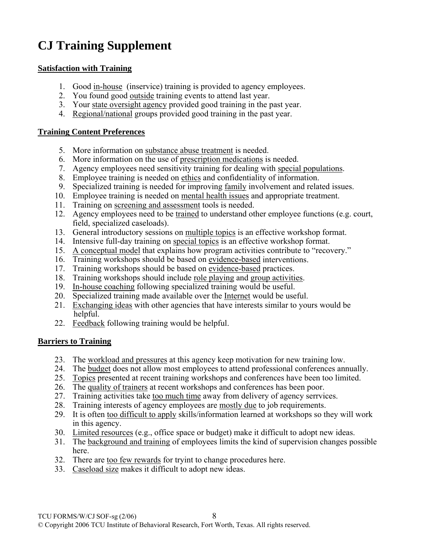# **CJ Training Supplement**

# **Satisfaction with Training**

- 1. Good in-house (inservice) training is provided to agency employees.
- 2. You found good outside training events to attend last year.
- 3. Your state oversight agency provided good training in the past year.
- 4. Regional/national groups provided good training in the past year.

# **Training Content Preferences**

- 5. More information on substance abuse treatment is needed.
- 6. More information on the use of prescription medications is needed.
- 7. Agency employees need sensitivity training for dealing with special populations.
- 8. Employee training is needed on ethics and confidentiality of information.
- 9. Specialized training is needed for improving family involvement and related issues.
- 10. Employee training is needed on mental health issues and appropriate treatment.
- 11. Training on screening and assessment tools is needed.
- 12. Agency employees need to be trained to understand other employee functions (e.g. court, field, specialized caseloads).
- 13. General introductory sessions on multiple topics is an effective workshop format.
- 14. Intensive full-day training on special topics is an effective workshop format.
- 15. A conceptual model that explains how program activities contribute to "recovery."
- 16. Training workshops should be based on evidence-based interventions.
- 17. Training workshops should be based on evidence-based practices.
- 18. Training workshops should include role playing and group activities.
- 19. In-house coaching following specialized training would be useful.
- 20. Specialized training made available over the Internet would be useful.
- 21. Exchanging ideas with other agencies that have interests similar to yours would be helpful.
- 22. Feedback following training would be helpful.

# **Barriers to Training**

- 23. The workload and pressures at this agency keep motivation for new training low.
- 24. The budget does not allow most employees to attend professional conferences annually.
- 25. Topics presented at recent training workshops and conferences have been too limited.
- 26. The quality of trainers at recent workshops and conferences has been poor.
- 27. Training activities take too much time away from delivery of agency serrvices.
- 28. Training interests of agency employees are mostly due to job requirements.
- 29. It is often too difficult to apply skills/information learned at workshops so they will work in this agency.
- 30. Limited resources (e.g., office space or budget) make it difficult to adopt new ideas.
- 31. The background and training of employees limits the kind of supervision changes possible here.
- 32. There are too few rewards for tryint to change procedures here.
- 33. Caseload size makes it difficult to adopt new ideas.